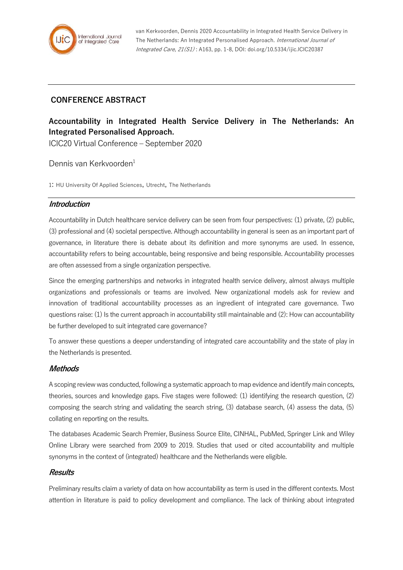

van Kerkvoorden, Dennis 2020 Accountability in Integrated Health Service Delivery in The Netherlands: An Integrated Personalised Approach. International Journal of Integrated Care, 21(S1) : A163, pp. 1-8, DOI: doi.org/10.5334/ijic.ICIC20387

# **CONFERENCE ABSTRACT**

# **Accountability in Integrated Health Service Delivery in The Netherlands: An Integrated Personalised Approach.**

ICIC20 Virtual Conference – September 2020

Dennis van Kerkvoorden<sup>1</sup>

1: HU University Of Applied Sciences, Utrecht, The Netherlands

#### **Introduction**

Accountability in Dutch healthcare service delivery can be seen from four perspectives: (1) private, (2) public, (3) professional and (4) societal perspective. Although accountability in general is seen as an important part of governance, in literature there is debate about its definition and more synonyms are used. In essence, accountability refers to being accountable, being responsive and being responsible. Accountability processes are often assessed from a single organization perspective.

Since the emerging partnerships and networks in integrated health service delivery, almost always multiple organizations and professionals or teams are involved. New organizational models ask for review and innovation of traditional accountability processes as an ingredient of integrated care governance. Two questions raise: (1) Is the current approach in accountability still maintainable and (2): How can accountability be further developed to suit integrated care governance?

To answer these questions a deeper understanding of integrated care accountability and the state of play in the Netherlands is presented.

#### **Methods**

A scoping review was conducted, following a systematic approach to map evidence and identify main concepts, theories, sources and knowledge gaps. Five stages were followed: (1) identifying the research question, (2) composing the search string and validating the search string, (3) database search, (4) assess the data, (5) collating en reporting on the results.

The databases Academic Search Premier, Business Source Elite, CINHAL, PubMed, Springer Link and Wiley Online Library were searched from 2009 to 2019. Studies that used or cited accountability and multiple synonyms in the context of (integrated) healthcare and the Netherlands were eligible.

#### **Results**

Preliminary results claim a variety of data on how accountability as term is used in the different contexts. Most attention in literature is paid to policy development and compliance. The lack of thinking about integrated